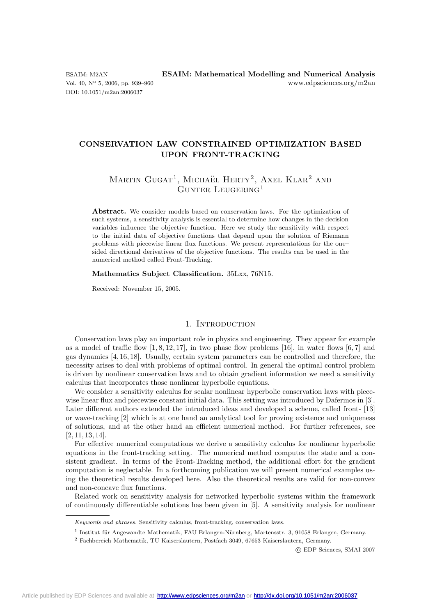DOI: 10.1051/m2an:2006037

# **CONSERVATION LAW CONSTRAINED OPTIMIZATION BASED UPON FRONT-TRACKING**

# MARTIN  $GUGAT^1$ , MICHAËL HERTY<sup>2</sup>, AXEL KLAR<sup>2</sup> AND Gunter Leugering<sup>1</sup>

**Abstract.** We consider models based on conservation laws. For the optimization of such systems, a sensitivity analysis is essential to determine how changes in the decision variables influence the objective function. Here we study the sensitivity with respect to the initial data of objective functions that depend upon the solution of Riemann problems with piecewise linear flux functions. We present representations for the one– sided directional derivatives of the objective functions. The results can be used in the numerical method called Front-Tracking.

#### **Mathematics Subject Classification.** 35Lxx, 76N15.

Received: November 15, 2005.

# 1. INTRODUCTION

Conservation laws play an important role in physics and engineering. They appear for example as a model of traffic flow  $[1, 8, 12, 17]$ , in two phase flow problems  $[16]$ , in water flows  $[6, 7]$  and gas dynamics [4, 16, 18]. Usually, certain system parameters can be controlled and therefore, the necessity arises to deal with problems of optimal control. In general the optimal control problem is driven by nonlinear conservation laws and to obtain gradient information we need a sensitivity calculus that incorporates those nonlinear hyperbolic equations.

We consider a sensitivity calculus for scalar nonlinear hyperbolic conservation laws with piecewise linear flux and piecewise constant initial data. This setting was introduced by Dafermos in [3]. Later different authors extended the introduced ideas and developed a scheme, called front- [13] or wave-tracking [2] which is at one hand an analytical tool for proving existence and uniqueness of solutions, and at the other hand an efficient numerical method. For further references, see [2, 11, 13, 14].

For effective numerical computations we derive a sensitivity calculus for nonlinear hyperbolic equations in the front-tracking setting. The numerical method computes the state and a consistent gradient. In terms of the Front-Tracking method, the additional effort for the gradient computation is neglectable. In a forthcoming publication we will present numerical examples using the theoretical results developed here. Also the theoretical results are valid for non-convex and non-concave flux functions.

Related work on sensitivity analysis for networked hyperbolic systems within the framework of continuously differentiable solutions has been given in [5]. A sensitivity analysis for nonlinear

c EDP Sciences, SMAI 2007

Keywords and phrases. Sensitivity calculus, front-tracking, conservation laws.

 $<sup>1</sup>$  Institut für Angewandte Mathematik, FAU Erlangen-Nürnberg, Martensstr. 3, 91058 Erlangen, Germany.</sup>

<sup>2</sup> Fachbereich Mathematik, TU Kaiserslautern, Postfach 3049, 67653 Kaiserslautern, Germany.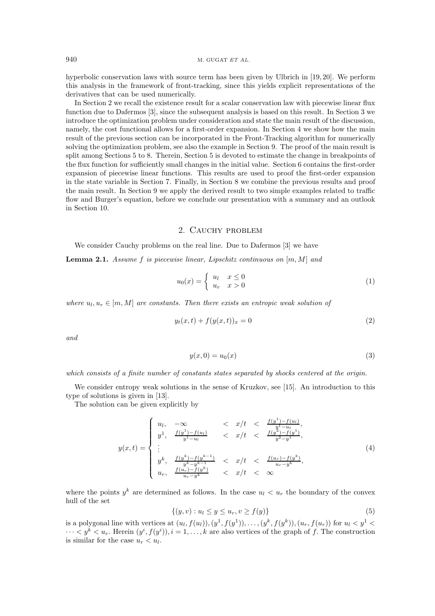hyperbolic conservation laws with source term has been given by Ulbrich in [19, 20]. We perform this analysis in the framework of front-tracking, since this yields explicit representations of the derivatives that can be used numerically.

In Section 2 we recall the existence result for a scalar conservation law with piecewise linear flux function due to Dafermos [3], since the subsequent analysis is based on this result. In Section 3 we introduce the optimization problem under consideration and state the main result of the discussion, namely, the cost functional allows for a first-order expansion. In Section 4 we show how the main result of the previous section can be incorporated in the Front-Tracking algorithm for numerically solving the optimization problem, see also the example in Section 9. The proof of the main result is split among Sections 5 to 8. Therein, Section 5 is devoted to estimate the change in breakpoints of the flux function for sufficiently small changes in the initial value. Section 6 contains the first-order expansion of piecewise linear functions. This results are used to proof the first-order expansion in the state variable in Section 7. Finally, in Section 8 we combine the previous results and proof the main result. In Section 9 we apply the derived result to two simple examples related to traffic flow and Burger's equation, before we conclude our presentation with a summary and an outlook in Section 10.

# 2. CAUCHY PROBLEM

We consider Cauchy problems on the real line. Due to Dafermos [3] we have

**Lemma 2.1.** Assume f is piecewise linear, Lipschitz continuous on  $[m, M]$  and

$$
u_0(x) = \begin{cases} u_l & x \le 0 \\ u_r & x > 0 \end{cases}
$$
 (1)

where  $u_l, u_r \in [m, M]$  are constants. Then there exists an entropic weak solution of

$$
y_t(x,t) + f(y(x,t))_x = 0
$$
\n(2)

and

$$
y(x,0) = u_0(x) \tag{3}
$$

which consists of a finite number of constants states separated by shocks centered at the origin.

We consider entropy weak solutions in the sense of Kruzkov, see [15]. An introduction to this type of solutions is given in  $[13]$ .

The solution can be given explicitly by

$$
y(x,t) = \begin{cases} u_l, & -\infty < x/t < \frac{f(y^1) - f(u_l)}{y^1 - u_l}, \\ y^1, & \frac{f(y^1) - f(u_l)}{y^1 - u_l} < x/t < \frac{f(y^2) - f(y^1)}{y^2 - y^1}, \\ \vdots & & \vdots \\ y^k, & \frac{f(y^k) - f(y^{k-1})}{y^k - y^{k-1}} < x/t < \frac{f(u_r) - f(y^k)}{u_r - y^k}, \\ u_r, & \frac{f(u_r) - f(y^k)}{u_r - y^k} < x/t < \infty \end{cases} \tag{4}
$$

where the points  $y^k$  are determined as follows. In the case  $u_l < u_r$  the boundary of the convex hull of the set

$$
\{(y, v) : u_l \le y \le u_r, v \ge f(y)\}\tag{5}
$$

is a polygonal line with vertices at  $(u_l, f(u_l)), (y^1, f(y^1)), \ldots, (y^k, f(y^k)), (u_r, f(u_r))$  for  $u_l < y^1 <$  $\cdots < y^k < u_r$ . Herein  $(y^i, f(y^i)), i = 1, \ldots, k$  are also vertices of the graph of f. The construction is similar for the case  $u_r < u_l$ .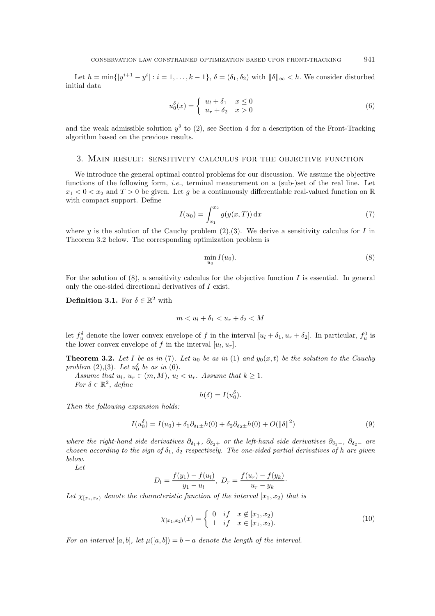Let  $h = \min\{|y^{i+1} - y^i| : i = 1,\ldots,k-1\}, \delta = (\delta_1, \delta_2)$  with  $\|\delta\|_{\infty} < h$ . We consider disturbed initial data

$$
u_0^{\delta}(x) = \begin{cases} u_l + \delta_1 & x \le 0 \\ u_r + \delta_2 & x > 0 \end{cases}
$$
 (6)

and the weak admissible solution  $y^{\delta}$  to (2), see Section 4 for a description of the Front-Tracking algorithm based on the previous results.

## 3. MAIN RESULT: SENSITIVITY CALCULUS FOR THE OBJECTIVE FUNCTION

We introduce the general optimal control problems for our discussion. We assume the objective functions of the following form, *i.e.*, terminal measurement on a (sub-)set of the real line. Let  $x_1 < 0 < x_2$  and  $T > 0$  be given. Let g be a continuously differentiable real-valued function on R with compact support. Define

$$
I(u_0) = \int_{x_1}^{x_2} g(y(x,T)) dx
$$
 (7)

where y is the solution of the Cauchy problem (2), (3). We derive a sensitivity calculus for I in Theorem 3.2 below. The corresponding optimization problem is

$$
\min_{u} I(u_0). \tag{8}
$$

For the solution of  $(8)$ , a sensitivity calculus for the objective function I is essential. In general only the one-sided directional derivatives of  $I$  exist.

**Definition 3.1.** For  $\delta \in \mathbb{R}^2$  with

$$
m < u_l + \delta_1 < u_r + \delta_2 < M
$$

let  $f_u^{\delta}$  denote the lower convex envelope of f in the interval  $[u_l + \delta_1, u_r + \delta_2]$ . In particular,  $f_u^0$  is the lower convex envelope of f in the interval  $[u_l, u_r]$ .

**Theorem 3.2.** Let I be as in (7). Let  $u_0$  be as in (1) and  $y_0(x,t)$  be the solution to the Cauchy problem  $(2),(3)$ . Let  $u_0^{\delta}$  be as in (6).

Assume that  $u_l, u_r \in (m, M), u_l < u_r$ . Assume that  $k \geq 1$ .

For  $\delta \in \mathbb{R}^2$ , define

$$
h(\delta) = I(u_0^{\delta})
$$

Then the following expansion holds:

$$
I(u_0^{\delta}) = I(u_0) + \delta_1 \partial_{\delta_1 \pm} h(0) + \delta_2 \partial_{\delta_2 \pm} h(0) + O(||\delta||^2)
$$
\n(9)

where the right-hand side derivatives  $\partial_{\delta_1+}$ ,  $\partial_{\delta_2+}$  or the left-hand side derivatives  $\partial_{\delta_1-}$ ,  $\partial_{\delta_2-}$  are chosen according to the sign of  $\delta_1$ ,  $\delta_2$  respectively. The one-sided partial derivatives of h are given below.

Let

$$
D_l = \frac{f(y_1) - f(u_l)}{y_1 - u_l}, \ D_r = \frac{f(u_r) - f(y_k)}{u_r - y_k}
$$

Let  $\chi_{[x_1,x_2)}$  denote the characteristic function of the interval  $[x_1,x_2)$  that is

$$
\chi_{[x_1,x_2)}(x) = \begin{cases} 0 & \text{if } x \notin [x_1,x_2) \\ 1 & \text{if } x \in [x_1,x_2). \end{cases}
$$
 (10)

For an interval [a, b], let  $\mu([a, b]) = b - a$  denote the length of the interval.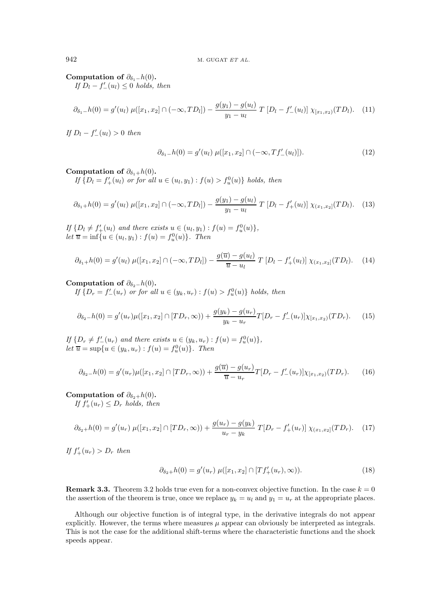Computation of  $\partial_{\delta_1}$  – h(0). If  $D_l - f'(u_l) \leq 0$  holds, then

$$
\partial_{\delta_1 - h}(0) = g'(u_l) \ \mu([x_1, x_2] \cap (-\infty, TD_l]) - \frac{g(y_1) - g(u_l)}{y_1 - u_l} \ T \ [D_l - f'_{-}(u_l)] \ \chi_{[x_1, x_2)}(TD_l). \tag{11}
$$

If  $D_l - f'(u_l) > 0$  then

$$
\partial_{\delta_1 - h}(0) = g'(u_l) \ \mu([x_1, x_2] \cap (-\infty, Tf'_{-}(u_l)]). \tag{12}
$$

Computation of  $\partial_{\delta_1+}h(0)$ .

If  $\{D_l = f'_{+}(u_l)$  or for all  $u \in (u_l, y_1) : f(u) > f_u^0(u)\}\$  holds, then

$$
\partial_{\delta_1+}h(0) = g'(u_l)\,\mu([x_1,x_2]\cap(-\infty,TD_l]) - \frac{g(y_1) - g(u_l)}{y_1 - u_l}\,T\,[D_l - f'_+(u_l)]\,\chi_{(x_1,x_2]}(TD_l). \tag{13}
$$

If  $\{D_l \neq f'_{+}(u_l) \text{ and there exists } u \in (u_l, y_1) : f(u) = f_u^0(u)\},$ let  $\overline{u} = \inf \{ u \in (u_1, y_1) : f(u) = f_u^0(u) \}.$  Then

$$
\partial_{\delta_1+}h(0) = g'(u_l)\,\mu([x_1,x_2]\cap(-\infty,TD_l]) - \frac{g(\overline{u})-g(u_l)}{\overline{u}-u_l}\,T\,[D_l - f'_{+}(u_l)]\,\chi_{(x_1,x_2]}(TD_l). \tag{14}
$$

Computation of  $\partial_{\delta_2}$  –  $h(0)$ .

If  $\{D_r = f'_{-}(u_r)$  or for all  $u \in (y_k, u_r) : f(u) > f_u^0(u) \}$  holds, then

$$
\partial_{\delta_2 - h}(0) = g'(u_r)\mu([x_1, x_2] \cap [TD_r, \infty)) + \frac{g(y_k) - g(u_r)}{y_k - u_r}T[D_r - f'_{-}(u_r)]\chi_{[x_1, x_2)}(TD_r). \tag{15}
$$

If  $\{D_r \neq f'_{-}(u_r)$  and there exists  $u \in (y_k, u_r) : f(u) = f_u^0(u)\},$ let  $\overline{u} = \sup\{u \in (y_k, u_r) : f(u) = f_u^0(u)\}.$  Then

$$
\partial_{\delta_2 - h}(0) = g'(u_r)\mu([x_1, x_2] \cap [TD_r, \infty)) + \frac{g(\overline{u}) - g(u_r)}{\overline{u} - u_r}T[D_r - f'_{-}(u_r)]\chi_{[x_1, x_2)}(TD_r). \tag{16}
$$

# Computation of  $\partial_{\delta_2+}h(0)$ .

If  $f'_{+}(u_r) \leq D_r$  holds, then

$$
\partial_{\delta_2+}h(0) = g'(u_r)\,\mu([x_1, x_2] \cap [TD_r, \infty)) + \frac{g(u_r) - g(y_k)}{u_r - y_k}\,T[D_r - f'_+(u_r)]\,\chi_{(x_1, x_2]}(TD_r). \tag{17}
$$

If  $f'_{+}(u_r) > D_r$  then

$$
\partial_{\delta_2+}h(0) = g'(u_r)\,\,\mu([x_1, x_2] \cap [Tf'_+(u_r), \infty)).\tag{18}
$$

**Remark 3.3.** Theorem 3.2 holds true even for a non-convex objective function. In the case  $k = 0$ the assertion of the theorem is true, once we replace  $y_k = u_l$  and  $y_1 = u_r$  at the appropriate places.

Although our objective function is of integral type, in the derivative integrals do not appear explicitly. However, the terms where measures  $\mu$  appear can obviously be interpreted as integrals. This is not the case for the additional shift-terms where the characteristic functions and the shock speeds appear.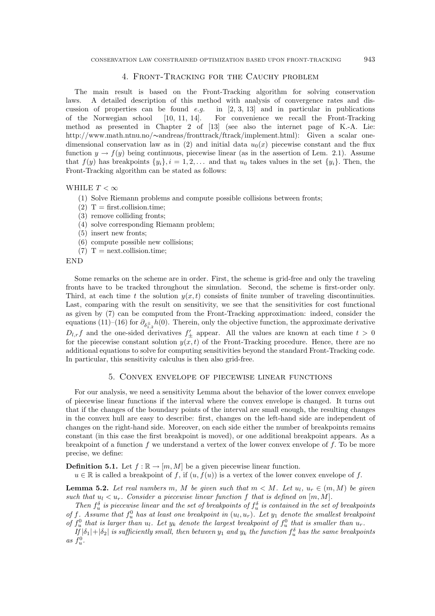# 4. FRONT-TRACKING FOR THE CAUCHY PROBLEM

The main result is based on the Front-Tracking algorithm for solving conservation A detailed description of this method with analysis of convergence rates and dislaws. cussion of properties can be found  $e.g.$ in  $[2, 3, 13]$  and in particular in publications of the Norwegian school  $[10, 11, 14].$ For convenience we recall the Front-Tracking method as presented in Chapter 2 of [13] (see also the internet page of K.-A. Lie:  $\hbox{http://www.math.ntnu.no/~andreas/frontrack/frack/implement.html):} \quad \hbox{Given a scalar one--}$ dimensional conservation law as in (2) and initial data  $u_0(x)$  piecewise constant and the flux function  $y \to f(y)$  being continuous, piecewise linear (as in the assertion of Lem. 2.1). Assume that  $f(y)$  has breakpoints  $\{y_i\}, i = 1, 2, \ldots$  and that  $u_0$  takes values in the set  $\{y_i\}$ . Then, the Front-Tracking algorithm can be stated as follows:

# WHILE  $T < \infty$

- (1) Solve Riemann problems and compute possible collisions between fronts;
- $(2)$  T = first.collision.time:
- (3) remove colliding fronts;
- (4) solve corresponding Riemann problem;
- $(5)$  insert new fronts;
- $(6)$  compute possible new collisions;
- $(7)$  T = next.collision.time;

**END** 

Some remarks on the scheme are in order. First, the scheme is grid-free and only the traveling fronts have to be tracked throughout the simulation. Second, the scheme is first-order only. Third, at each time t the solution  $y(x,t)$  consists of finite number of traveling discontinuities. Last, comparing with the result on sensitivity, we see that the sensitivities for cost functional as given by (7) can be computed from the Front-Tracking approximation: indeed, consider the equations (11)–(16) for  $\partial_{\delta_{1,2}^{\pm}} h(0)$ . Therein, only the objective function, the approximate derivative  $D_{l,r}f$  and the one-sided derivatives  $f'_{\pm}$  appear. All the values are known at each time  $t>0$ for the piecewise constant solution  $y(x, t)$  of the Front-Tracking procedure. Hence, there are no additional equations to solve for computing sensitivities beyond the standard Front-Tracking code. In particular, this sensitivity calculus is then also grid-free.

#### 5. CONVEX ENVELOPE OF PIECEWISE LINEAR FUNCTIONS

For our analysis, we need a sensitivity Lemma about the behavior of the lower convex envelope of piecewise linear functions if the interval where the convex envelope is changed. It turns out that if the changes of the boundary points of the interval are small enough, the resulting changes in the convex hull are easy to describe: first, changes on the left-hand side are independent of changes on the right-hand side. Moreover, on each side either the number of breakpoints remains constant (in this case the first breakpoint is moved), or one additional breakpoint appears. As a breakpoint of a function f we understand a vertex of the lower convex envelope of f. To be more precise, we define:

**Definition 5.1.** Let  $f : \mathbb{R} \to [m, M]$  be a given piecewise linear function.

 $u \in \mathbb{R}$  is called a breakpoint of f, if  $(u, f(u))$  is a vertex of the lower convex envelope of f.

**Lemma 5.2.** Let real numbers m, M be given such that  $m < M$ . Let  $u_l, u_r \in (m, M)$  be given such that  $u_l < u_r$ . Consider a piecewise linear function f that is defined on  $[m, M]$ .

Then  $f_u^{\delta}$  is piecewise linear and the set of breakpoints of  $f_u^{\delta}$  is contained in the set of breakpoints of f. Assume that  $f_u^0$  has at least one breakpoint in  $(u_l, u_r)$ . Let  $y_1$  denote the smallest breakpoint of  $f_u^0$  that is larger than  $u_l$ . Let  $y_k$  denote the largest breakpoint of  $f_u^0$  that is smaller than  $u_r$ .

If  $|\delta_1|+|\delta_2|$  is sufficiently small, then between  $y_1$  and  $y_k$  the function  $f_u^{\delta}$  has the same breakpoints as  $f_u^0$ .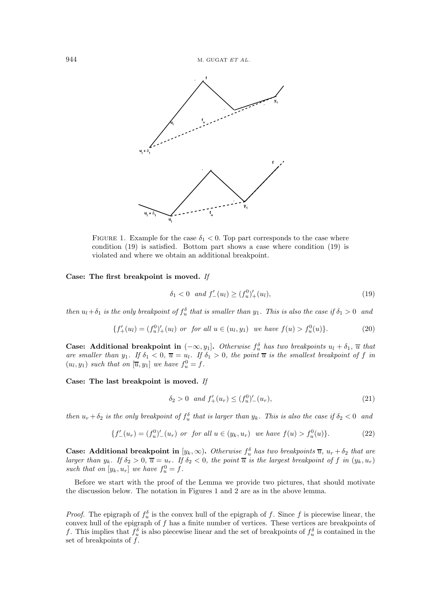

FIGURE 1. Example for the case  $\delta_1 < 0$ . Top part corresponds to the case where condition  $(19)$  is satisfied. Bottom part shows a case where condition  $(19)$  is violated and where we obtain an additional breakpoint.

#### Case: The first breakpoint is moved. If

$$
\delta_1 < 0 \quad \text{and} \quad f'_{-}(u_l) \ge (f_u^0)'_{+}(u_l),\tag{19}
$$

then  $u_1 + \delta_1$  is the only breakpoint of  $f_u^{\delta}$  that is smaller than  $y_1$ . This is also the case if  $\delta_1 > 0$  and

$$
\{f'_{+}(u_{l}) = (f_{u}^{0})'_{+}(u_{l}) \text{ or for all } u \in (u_{l}, y_{1}) \text{ we have } f(u) > f_{u}^{0}(u)\}. \tag{20}
$$

**Case:** Additional breakpoint in  $(-\infty, y_1]$ . Otherwise  $f_u^{\delta}$  has two breakpoints  $u_l + \delta_1$ ,  $\overline{u}$  that are smaller than  $y_1$ . If  $\delta_1 < 0$ ,  $\overline{u} = u_l$ . If  $\delta_1 > 0$ , the point  $\overline{u}$  is the smallest breakpoint

Case: The last breakpoint is moved. If

$$
\delta_2 > 0 \quad \text{and} \ f'_+(u_r) \le (f_u^0)'_-(u_r), \tag{21}
$$

then  $u_r + \delta_2$  is the only breakpoint of  $f_u^{\delta}$  that is larger than  $y_k$ . This is also the case if  $\delta_2 < 0$  and

$$
\{f'_{-}(u_r) = (f_u^0)'_{-}(u_r) \text{ or for all } u \in (y_k, u_r) \text{ we have } f(u) > f_u^0(u)\}.
$$
 (22)

**Case:** Additional breakpoint in  $[y_k, \infty)$ . Otherwise  $f_u^{\delta}$  has two breakpoints  $\overline{u}$ ,  $u_r + \delta_2$  that are larger than  $y_k$ . If  $\delta_2 > 0$ ,  $\overline{u} = u_r$ . If  $\delta_2 < 0$ , the point  $\overline{u}$  is the largest breakpoint of f in  $(y_k, u_r)$ such that on  $[y_k, u_r]$  we have  $f_u^0 = \dot{f}$ .

Before we start with the proof of the Lemma we provide two pictures, that should motivate the discussion below. The notation in Figures 1 and 2 are as in the above lemma.

*Proof.* The epigraph of  $f_u^{\delta}$  is the convex hull of the epigraph of f. Since f is piecewise linear, the convex hull of the epigraph of  $f$  has a finite number of vertices. These vertices are breakpoints of f. This implies that  $f_u^{\delta}$  is also piecewise linear and the set of breakpoints of  $f_u^{\delta}$  is contained in the set of breakpoints of  $f$ .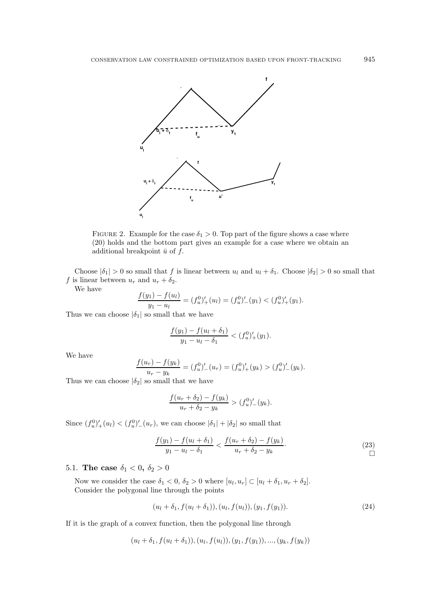

FIGURE 2. Example for the case  $\delta_1 > 0$ . Top part of the figure shows a case where (20) holds and the bottom part gives an example for a case where we obtain an additional breakpoint  $\bar{u}$  of  $f$ .

Choose  $|\delta_1| > 0$  so small that f is linear between  $u_l$  and  $u_l + \delta_1$ . Choose  $|\delta_2| > 0$  so small that f is linear between  $u_r$  and  $u_r + \delta_2$ .

We have

$$
\frac{f(y_1) - f(u_l)}{y_1 - u_l} = (f_u^0)'_+(u_l) = (f_u^0)'_-(y_1) < (f_u^0)'_+(y_1).
$$

Thus we can choose  $|\delta_1|$  so small that we have

$$
\frac{f(y_1) - f(u_l + \delta_1)}{y_1 - u_l - \delta_1} < (f_u^0)'_+(y_1).
$$

We have

$$
\frac{f(u_r) - f(y_k)}{u_r - y_k} = (f_u^0)'_-(u_r) = (f_u^0)'_+(y_k) > (f_u^0)'_-(y_k).
$$

Thus we can choose  $|\delta_2|$  so small that we have

$$
\frac{f(u_r + \delta_2) - f(y_k)}{u_r + \delta_2 - y_k} > (f_u^0)'_-(y_k).
$$

Since  $(f_u^0)'_+(u_l) < (f_u^0)'_-(u_r)$ , we can choose  $|\delta_1| + |\delta_2|$  so small that

$$
\frac{f(y_1) - f(u_l + \delta_1)}{y_1 - u_l - \delta_1} < \frac{f(u_r + \delta_2) - f(y_k)}{u_r + \delta_2 - y_k}.\tag{23}
$$

# 5.1. The case  $\delta_1 < 0$ ,  $\delta_2 > 0$

Now we consider the case  $\delta_1 < 0$ ,  $\delta_2 > 0$  where  $[u_l, u_r] \subset [u_l + \delta_1, u_r + \delta_2]$ . Consider the polygonal line through the points

$$
(u_l + \delta_1, f(u_l + \delta_1)), (u_l, f(u_l)), (y_1, f(y_1)).
$$
\n(24)

If it is the graph of a convex function, then the polygonal line through

$$
(u_l + \delta_1, f(u_l + \delta_1)), (u_l, f(u_l)), (y_1, f(y_1)), ..., (y_k, f(y_k))
$$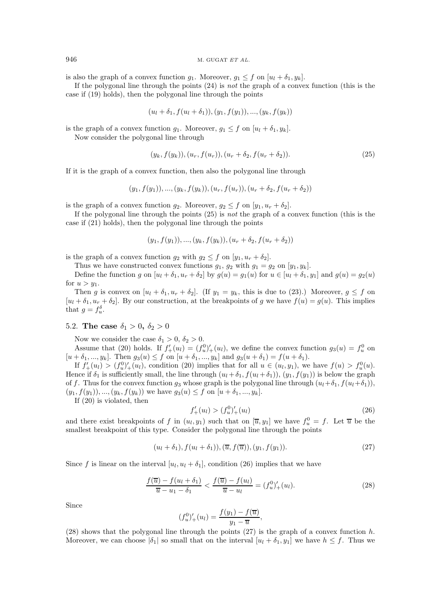is also the graph of a convex function  $g_1$ . Moreover,  $g_1 \leq f$  on  $[u_l + \delta_1, y_k]$ .

If the polygonal line through the points  $(24)$  is *not* the graph of a convex function (this is the case if (19) holds), then the polygonal line through the points

$$
(u_l + \delta_1, f(u_l + \delta_1)), (y_1, f(y_1)), ..., (y_k, f(y_k))
$$

is the graph of a convex function  $g_1$ . Moreover,  $g_1 \leq f$  on  $[u_l + \delta_1, y_k]$ . Now consider the polygonal line through

$$
(y_k, f(y_k)), (u_r, f(u_r)), (u_r + \delta_2, f(u_r + \delta_2)). \tag{25}
$$

If it is the graph of a convex function, then also the polygonal line through

$$
(y_1, f(y_1)), ..., (y_k, f(y_k)), (u_r, f(u_r)), (u_r + \delta_2, f(u_r + \delta_2))
$$

is the graph of a convex function  $g_2$ . Moreover,  $g_2 \leq f$  on  $[y_1, u_r + \delta_2]$ .

If the polygonal line through the points  $(25)$  is *not* the graph of a convex function (this is the case if  $(21)$  holds), then the polygonal line through the points

$$
(y_1, f(y_1)), ..., (y_k, f(y_k)), (u_r + \delta_2, f(u_r + \delta_2))
$$

is the graph of a convex function  $g_2$  with  $g_2 \leq f$  on  $[y_1, u_r + \delta_2]$ .

Thus we have constructed convex functions  $g_1, g_2$  with  $g_1 = g_2$  on  $[y_1, y_k]$ .

Define the function g on  $[u_l + \delta_1, u_r + \delta_2]$  by  $g(u) = g_1(u)$  for  $u \in [u_l + \delta_1, y_1]$  and  $g(u) = g_2(u)$ for  $u > y_1$ .

Then g is convex on  $[u_l + \delta_1, u_r + \delta_2]$ . (If  $y_1 = y_k$ , this is due to (23).) Moreover,  $g \le f$  on  $[u_1 + \delta_1, u_r + \delta_2]$ . By our construction, at the breakpoints of g we have  $f(u) = g(u)$ . This implies that  $g = f_u^{\delta}$ .

# 5.2. The case  $\delta_1 > 0$ ,  $\delta_2 > 0$

Now we consider the case  $\delta_1 > 0, \delta_2 > 0$ .

Assume that (20) holds. If  $f'_{+}(u_l) = (f_u^0)'_{+}(u_l)$ , we define the convex function  $g_3(u) = f_u^0$  on  $[u + \delta_1, ..., y_k]$ . Then  $g_3(u) \le f$  on  $[u + \delta_1, ..., y_k]$  and  $g_3(u + \delta_1) = f(u + \delta_1)$ .

If  $f'_{+}(u_l) > (f_u^0)'_{+}(u_l)$ , condition (20) implies that for all  $u \in (u_l, y_1)$ , we have  $f(u) > f_u^0(u)$ . Hence if  $\delta_1$  is sufficiently small, the line through  $(u_l + \delta_1, f(u_l + \delta_1)), (y_1, f(y_1))$  is below the graph of f. Thus for the convex function  $g_3$  whose graph is the polygonal line through  $(u_l + \delta_1, f(u_l + \delta_1)),$  $(y_1, f(y_1)), ..., (y_k, f(y_k))$  we have  $g_3(u) \leq f$  on  $[u + \delta_1, ..., y_k].$ 

If  $(20)$  is violated, then

$$
f'_{+}(u_{l}) > (f_{u}^{0})'_{+}(u_{l})
$$
\n
$$
(26)
$$

and there exist breakpoints of f in  $(u_l, y_1)$  such that on  $[\overline{u}, y_1]$  we have  $f_u^0 = f$ . Let  $\overline{u}$  be the smallest breakpoint of this type. Consider the polygonal line through the points

$$
(u_l + \delta_1), f(u_l + \delta_1)), (\overline{u}, f(\overline{u})), (y_1, f(y_1)). \tag{27}
$$

Since f is linear on the interval  $[u_l, u_l + \delta_l]$ , condition (26) implies that we have

$$
\frac{f(\overline{u}) - f(u_l + \delta_1)}{\overline{u} - u_1 - \delta_1} < \frac{f(\overline{u}) - f(u_l)}{\overline{u} - u_l} = (f_u^0)'_+(u_l). \tag{28}
$$

Since

$$
(f_u^0)'_+(u_l) = \frac{f(y_1) - f(\overline{u})}{y_1 - \overline{u}}
$$

 $(28)$  shows that the polygonal line through the points  $(27)$  is the graph of a convex function h. Moreover, we can choose  $|\delta_1|$  so small that on the interval  $[u_l + \delta_1, y_l]$  we have  $h \leq f$ . Thus we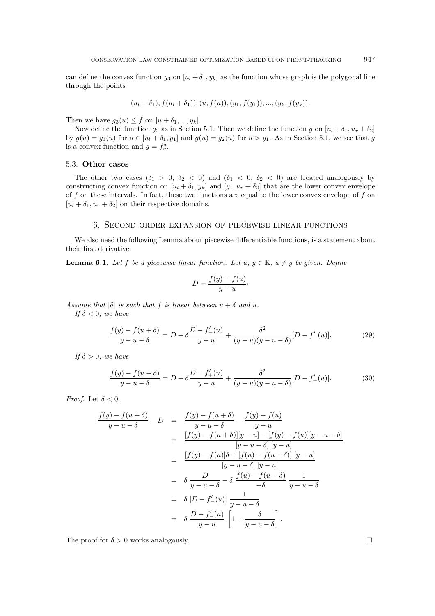$$
(u_l + \delta_1), f(u_l + \delta_1)), (\overline{u}, f(\overline{u})), (y_1, f(y_1)), ..., (y_k, f(y_k)).
$$

Then we have  $g_3(u) \leq f$  on  $[u + \delta_1, ..., y_k].$ 

Now define the function  $g_2$  as in Section 5.1. Then we define the function g on  $[u_l + \delta_1, u_r + \delta_2]$ by  $g(u) = g_3(u)$  for  $u \in [u_l + \delta_1, y_1]$  and  $g(u) = g_2(u)$  for  $u > y_1$ . As in Section 5.1, we see that g is a convex function and  $g = f_u^{\delta}$ .

### 5.3. Other cases

The other two cases ( $\delta_1 > 0$ ,  $\delta_2 < 0$ ) and ( $\delta_1 < 0$ ,  $\delta_2 < 0$ ) are treated analogously by constructing convex function on  $[u_l + \delta_1, y_k]$  and  $[y_1, u_r + \delta_2]$  that are the lower convex envelope of  $f$  on these intervals. In fact, these two functions are equal to the lower convex envelope of  $f$  on  $[u_l + \delta_1, u_r + \delta_2]$  on their respective domains.

# 6. SECOND ORDER EXPANSION OF PIECEWISE LINEAR FUNCTIONS

We also need the following Lemma about piecewise differentiable functions, is a statement about their first derivative.

**Lemma 6.1.** Let f be a piecewise linear function. Let  $u, y \in \mathbb{R}$ ,  $u \neq y$  be given. Define

$$
D = \frac{f(y) - f(u)}{y - u}.
$$

Assume that  $|\delta|$  is such that f is linear between  $u + \delta$  and u.

If  $\delta$  < 0, we have

$$
\frac{f(y) - f(u + \delta)}{y - u - \delta} = D + \delta \frac{D - f'(u)}{y - u} + \frac{\delta^2}{(y - u)(y - u - \delta)} [D - f'(u)].
$$
\n(29)

If  $\delta > 0$ , we have

$$
\frac{f(y) - f(u + \delta)}{y - u - \delta} = D + \delta \frac{D - f'_+(u)}{y - u} + \frac{\delta^2}{(y - u)(y - u - \delta)} [D - f'_+(u)].
$$
\n(30)

*Proof.* Let  $\delta < 0$ .

$$
\frac{f(y) - f(u + \delta)}{y - u - \delta} - D = \frac{f(y) - f(u + \delta)}{y - u - \delta} - \frac{f(y) - f(u)}{y - u}
$$
\n
$$
= \frac{[f(y) - f(u + \delta)][y - u] - [f(y) - f(u)][y - u - \delta]}{[y - u - \delta][y - u]}
$$
\n
$$
= \frac{[f(y) - f(u)]\delta + [f(u) - f(u + \delta)][y - u]}{[y - u - \delta][y - u]}
$$
\n
$$
= \delta \frac{D}{y - u - \delta} - \delta \frac{f(u) - f(u + \delta)}{-\delta} \frac{1}{y - u - \delta}
$$
\n
$$
= \delta [D - f'(u)] \frac{1}{y - u - \delta}
$$
\n
$$
= \delta \frac{D - f'(u)}{y - u} \left[1 + \frac{\delta}{y - u - \delta}\right].
$$

The proof for  $\delta > 0$  works analogously.

 $\Box$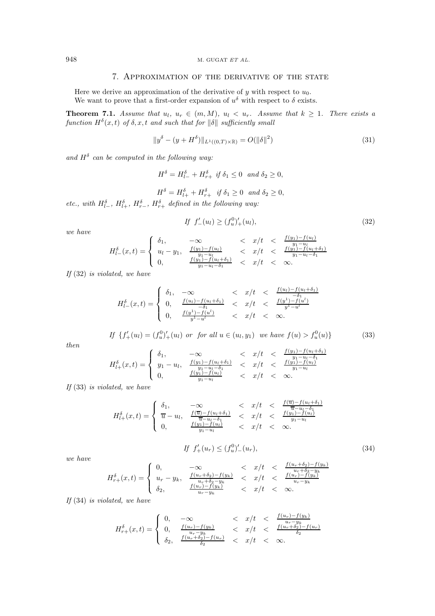# 7. APPROXIMATION OF THE DERIVATIVE OF THE STATE

Here we derive an approximation of the derivative of  $y$  with respect to  $u_0$ . We want to prove that a first-order expansion of  $u^{\delta}$  with respect to  $\delta$  exists.

**Theorem 7.1.** Assume that  $u_l$ ,  $u_r \in (m, M)$ ,  $u_l < u_r$ . Assume that  $k \geq 1$ . There exists a function  $H^{\delta}(x,t)$  of  $\delta, x, t$  and such that for  $\|\delta\|$  sufficiently small

$$
||y^{\delta} - (y + H^{\delta})||_{L^{1}((0,T)\times\mathbb{R})} = O(||\delta||^{2})
$$
\n(31)

and  $H^{\delta}$  can be computed in the following way:

$$
H^{\delta} = H^{\delta}_{l-} + H^{\delta}_{r+} \text{ if } \delta_1 \le 0 \text{ and } \delta_2 \ge 0,
$$

$$
H^{\delta} = H^{\delta}_{l+} + H^{\delta}_{r+} \quad \text{if } \delta_1 \ge 0 \quad \text{and } \delta_2 \ge 0,
$$

etc., with  $H_{l-}^{\delta}$ ,  $H_{l+}^{\delta}$ ,  $H_{r-}^{\delta}$ ,  $H_{r+}^{\delta}$  defined in the following way:

$$
If f'_{-}(u_{l}) \ge (f_{u}^{0})'_{+}(u_{l}), \tag{32}
$$

we have

$$
H_{l-}^{\delta}(x,t) = \begin{cases} \n\delta_1, & -\infty < x/t < \frac{f(y_1) - f(u_l)}{y_1 - u_l} \\
u_l - y_1, & \frac{f(y_1) - f(u_l)}{y_1 - u_l} < x/t < \frac{f(y_1) - f(u_l + \delta_1)}{y_1 - u_l - \delta_1} \\
0, & \frac{f(y_1) - f(u_l + \delta_1)}{y_1 - u_l - \delta_1} < x/t < \infty.\n\end{cases}
$$

If  $(32)$  is violated, we have

$$
H_{l-}^{\delta}(x,t) = \begin{cases} \n\delta_1, & -\infty < x/t < \frac{f(u_l) - f(u_l + \delta_1)}{-\delta_1} \\
0, & \frac{f(u_l) - f(u_l + \delta_1)}{-\delta_1} < x/t < \frac{f(y^1) - f(u^l)}{y^1 - u^l} \\
0, & \frac{f(y^1) - f(u^l)}{y^1 - u^l} < x/t < \infty.\n\end{cases}
$$

If 
$$
\{f'_+(u_l) = (f_u^0)'_+(u_l)
$$
 or for all  $u \in (u_l, y_1)$  we have  $f(u) > f_u^0(u)\}$  (33)

 $then$ 

$$
H_{l+}^{\delta}(x,t) = \begin{cases} \delta_1, & -\infty & < x/t & < \frac{f(y_1) - f(u_l + \delta_1)}{y_1 - u_l - \delta_1} \\ y_1 - u_l, & \frac{f(y_1) - f(u_l + \delta_1)}{y_1 - u_l - \delta_1} & < x/t & < \frac{f(y_1) - f(u_l)}{y_1 - u_l} \\ 0, & \frac{f(y_1) - f(u_l)}{y_1 - u_l} & < x/t & < \infty. \end{cases}
$$

If  $(33)$  is violated, we have

$$
H_{l+}^{\delta}(x,t) = \begin{cases} \n\delta_1, & -\infty < x/t < \frac{f(\overline{u}) - f(u_l + \delta_1)}{\overline{u} - u_l - \delta_1} \\
\overline{u} - u_l, & \frac{f(\overline{u}) - f(u_l + \delta_1)}{\overline{u} - u_l - \delta_1} < x/t < \frac{f(y_1) - f(u_l)}{y_1 - u_l} \\
0, & \frac{f(y_1) - f(u_l)}{y_1 - u_l} < x/t < \infty.\n\end{cases}
$$
\n
$$
If \ f'_+(u_r) \leq \left(f_u^0\right)'_-(u_r),\n\tag{34}
$$

we have

$$
H^\delta_{r+}(x,t) = \begin{cases} 0, & -\infty & < x/t & < \frac{f(u_r + \delta_2) - f(y_k)}{u_r + \delta_2 - y_k} \\ u_r - y_k, & \frac{f(u_r + \delta_2) - f(y_k)}{u_r + \delta_2 - y_k} & < x/t & < \frac{f(u_r) - f(y_k)}{u_r - y_k} \\ \delta_2, & \frac{f(u_r) - f(y_k)}{u_r - y_k} & < x/t & < \infty. \end{cases}
$$

If  $(34)$  is violated, we have

$$
H_{r+}^{\delta}(x,t) = \begin{cases} 0, & -\infty & < x/t & < \frac{f(u_r) - f(y_k)}{u_r - y_k} \\ 0, & \frac{f(u_r) - f(y_k)}{u_r - y_k} & < x/t & < \frac{f(u_r + \delta_2) - f(u_r)}{\delta_2} \\ \delta_2, & \frac{f(u_r + \delta_2) - f(u_r)}{\delta_2} & < x/t & < \infty. \end{cases}
$$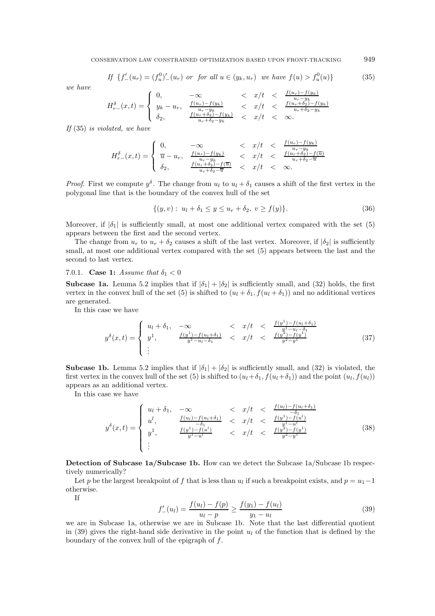$$
If \{f'_{-}(u_r) = (f_u^0)'_{-}(u_r) \text{ or for all } u \in (y_k, u_r) \text{ we have } f(u) > f_u^0(u) \}
$$
(35)

we have

$$
H_{r-}^{\delta}(x,t) = \begin{cases} 0, & -\infty & < x/t & < \frac{f(u_r) - f(y_k)}{u_r - y_k} \\ y_k - u_r, & \frac{f(u_r) - f(y_k)}{u_r - y_k} & < x/t & < \frac{f(u_r + \delta_2) - f(y_k)}{u_r + \delta_2 - y_k} \\ \delta_2, & \frac{f(u_r + \delta_2) - f(y_k)}{u_r + \delta_2 - y_k} & < x/t & < \infty. \end{cases}
$$

If  $(35)$  is violated, we have

$$
H^\delta_{r-}(x,t) = \left\{ \begin{array}{lcl} 0, & -\infty &
$$

*Proof.* First we compute  $y^{\delta}$ . The change from  $u_l$  to  $u_l + \delta_1$  causes a shift of the first vertex in the polygonal line that is the boundary of the convex hull of the set

$$
\{(y,v): u_1 + \delta_1 \le y \le u_r + \delta_2, v \ge f(y)\}.
$$
\n(36)

Moreover, if  $|\delta_1|$  is sufficiently small, at most one additional vertex compared with the set (5) appears between the first and the second vertex.

The change from  $u_r$  to  $u_r + \delta_2$  causes a shift of the last vertex. Moreover, if  $|\delta_2|$  is sufficiently small, at most one additional vertex compared with the set (5) appears between the last and the second to last vertex.

7.0.1. **Case 1:** Assume that  $\delta_1 < 0$ 

**Subcase 1a.** Lemma 5.2 implies that if  $|\delta_1| + |\delta_2|$  is sufficiently small, and (32) holds, the first vertex in the convex hull of the set (5) is shifted to  $(u_l + \delta_1, f(u_l + \delta_1))$  and no additional vertices are generated.

In this case we have

$$
y^{\delta}(x,t) = \begin{cases} u_l + \delta_1, & -\infty < x/t < \frac{f(y^1) - f(u_l + \delta_1)}{y^1 - u_l - \delta_1} \\ y^1, & \frac{f(y^1) - f(u_l + \delta_1)}{y^1 - u_l - \delta_1} < x/t < \frac{f(y^2) - f(y^1)}{y^2 - y^1} \end{cases} \tag{37}
$$

**Subcase 1b.** Lemma 5.2 implies that if  $|\delta_1| + |\delta_2|$  is sufficiently small, and (32) is violated, the first vertex in the convex hull of the set (5) is shifted to  $(u_l + \delta_1, f(u_l + \delta_1))$  and the point  $(u_l, f(u_l))$ appears as an additional vertex.

In this case we have

$$
y^{\delta}(x,t) = \begin{cases} u_l + \delta_1, & -\infty < x/t < \frac{f(u_l) - f(u_l + \delta_1)}{-\delta_1} \\ u^l, & \frac{f(u_l) - f(u_l + \delta_1)}{-\delta_1} < x/t < \frac{f(y^1) - f(u^l)}{y^1 - u^l} \\ y^1, & \frac{f(y^1) - f(u^l)}{y^1 - u^l} < x/t < \frac{f(y^2) - f(y^1)}{y^2 - y^1} \end{cases} \tag{38}
$$

Detection of Subcase 1a/Subcase 1b. How can we detect the Subcase 1a/Subcase 1b respectively numerically?

Let p be the largest breakpoint of f that is less than  $u_l$  if such a breakpoint exists, and  $p = u_1 - 1$ otherwise.

If

$$
f'_{-}(u_{l}) = \frac{f(u_{l}) - f(p)}{u_{l} - p} \ge \frac{f(y_{1}) - f(u_{l})}{y_{1} - u_{l}} \tag{39}
$$

we are in Subcase 1a, otherwise we are in Subcase 1b. Note that the last differential quotient in (39) gives the right-hand side derivative in the point  $u_l$  of the function that is defined by the boundary of the convex hull of the epigraph of  $f$ .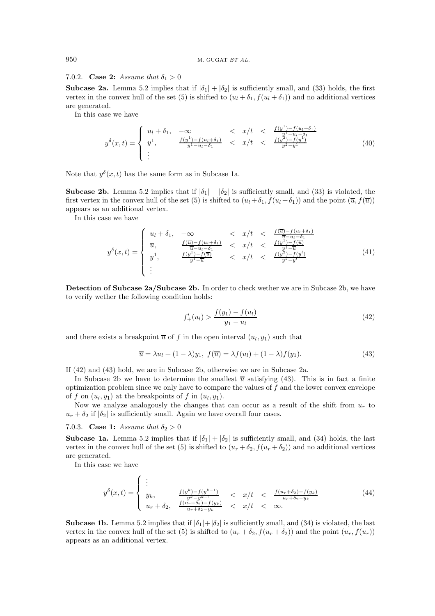### 7.0.2. Case 2: Assume that  $\delta_1 > 0$

**Subcase 2a.** Lemma 5.2 implies that if  $|\delta_1| + |\delta_2|$  is sufficiently small, and (33) holds, the first vertex in the convex hull of the set (5) is shifted to  $(u_l + \delta_1, f(u_l + \delta_1))$  and no additional vertices are generated.

In this case we have

$$
y^{\delta}(x,t) = \begin{cases} u_l + \delta_1, & -\infty < x/t < \frac{f(y^1) - f(u_l + \delta_1)}{y^1 - u_l - \delta_1} \\ y^1, & \frac{f(y^1) - f(u_l + \delta_1)}{y^1 - u_l - \delta_1} < x/t < \frac{f(y^2) - f(y^1)}{y^2 - y^1} \\ \vdots & & \end{cases} \tag{40}
$$

Note that  $y^{\delta}(x, t)$  has the same form as in Subcase 1a.

**Subcase 2b.** Lemma 5.2 implies that if  $|\delta_1| + |\delta_2|$  is sufficiently small, and (33) is violated, the first vertex in the convex hull of the set (5) is shifted to  $(u_l + \delta_1, f(u_l + \delta_1))$  and the point  $(\overline{u}, f(\overline{u}))$ appears as an additional vertex.

In this case we have

$$
y^{\delta}(x,t) = \begin{cases} u_l + \delta_1, & -\infty < x/t < \frac{f(\overline{u}) - f(u_l + \delta_1)}{\overline{u} - u_l - \delta_1} \\ \overline{u}, & \frac{f(\overline{u}) - f(u_l + \delta_1)}{\overline{u} - u_l - \delta_1} < x/t < \frac{f(y^1) - f(\overline{u})}{y^{1 - \overline{u}}} \\ y^1, & \frac{f(y^1) - f(\overline{u})}{y^1 - \overline{u}} < x/t < \frac{f(y^2) - f(y^1)}{y^2 - y^1} \\ \vdots & & \end{cases} \tag{41}
$$

Detection of Subcase 2a/Subcase 2b. In order to check wether we are in Subcase 2b, we have to verify wether the following condition holds:

$$
f'_{+}(u_{l}) > \frac{f(y_{1}) - f(u_{l})}{y_{1} - u_{l}} \tag{42}
$$

and there exists a breakpoint  $\overline{u}$  of f in the open interval  $(u_l, y_1)$  such that

$$
\overline{u} = \overline{\lambda}u_l + (1 - \overline{\lambda})y_1, \ f(\overline{u}) = \overline{\lambda}f(u_l) + (1 - \overline{\lambda})f(y_1). \tag{43}
$$

If  $(42)$  and  $(43)$  hold, we are in Subcase 2b, otherwise we are in Subcase 2a.

In Subcase 2b we have to determine the smallest  $\bar{u}$  satisfying (43). This is in fact a finite optimization problem since we only have to compare the values of  $f$  and the lower convex envelope of f on  $(u_l, y_l)$  at the breakpoints of f in  $(u_l, y_l)$ .

Now we analyze analogously the changes that can occur as a result of the shift from  $u_r$  to  $u_r + \delta_2$  if  $|\delta_2|$  is sufficiently small. Again we have overall four cases.

7.0.3. Case 1: Assume that  $\delta_2 > 0$ 

**Subcase 1a.** Lemma 5.2 implies that if  $|\delta_1| + |\delta_2|$  is sufficiently small, and (34) holds, the last vertex in the convex hull of the set (5) is shifted to  $(u_r + \delta_2, f(u_r + \delta_2))$  and no additional vertices are generated.

In this case we have

$$
y^{\delta}(x,t) = \begin{cases} \n\vdots & \text{if } (y^k) - f(y^{k-1}) < x/t < \frac{f(u_r + \delta_2) - f(y_k)}{u_r + \delta_2 - y_k} \\ \ny_{r+1} & \text{if } (u_r + \delta_2) - f(y_k) < x/t < \infty. \n\end{cases} \tag{44}
$$

**Subcase 1b.** Lemma 5.2 implies that if  $|\delta_1| + |\delta_2|$  is sufficiently small, and (34) is violated, the last vertex in the convex hull of the set (5) is shifted to  $(u_r + \delta_2, f(u_r + \delta_2))$  and the point  $(u_r, f(u_r))$ appears as an additional vertex.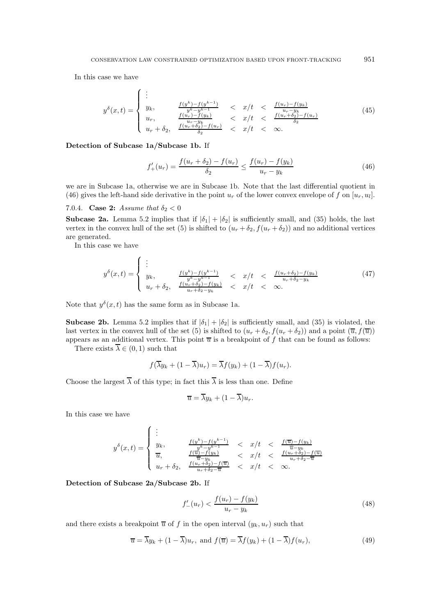In this case we have

$$
y^{\delta}(x,t) = \begin{cases} \n\vdots & \frac{f(y^k) - f(y^{k-1})}{y^k - y^{k-1}} < x/t < \frac{f(u_r) - f(y_k)}{u_r - y_k} \\ \n u_r, & \frac{f(u_r) - f(y_k)}{u_r - y_k} < x/t < \frac{f(u_r + \delta_2) - f(u_r)}{\delta_2} \\ \n u_r + \delta_2, & \frac{f(u_r + \delta_2) - f(u_r)}{\delta_2} < x/t < \infty. \n\end{cases} \tag{45}
$$

Detection of Subcase 1a/Subcase 1b. If

$$
f'_{+}(u_{r}) = \frac{f(u_{r} + \delta_{2}) - f(u_{r})}{\delta_{2}} \le \frac{f(u_{r}) - f(y_{k})}{u_{r} - y_{k}}
$$
(46)

we are in Subcase 1a, otherwise we are in Subcase 1b. Note that the last differential quotient in (46) gives the left-hand side derivative in the point  $u_r$  of the lower convex envelope of f on  $[u_r, u_l]$ .

# 7.0.4. Case 2: Assume that  $\delta_2 < 0$

**Subcase 2a.** Lemma 5.2 implies that if  $|\delta_1| + |\delta_2|$  is sufficiently small, and (35) holds, the last vertex in the convex hull of the set (5) is shifted to  $(u_r + \delta_2, f(u_r + \delta_2))$  and no additional vertices are generated.

In this case we have

$$
y^{\delta}(x,t) = \begin{cases} \n\vdots & \frac{f(y^k) - f(y^{k-1})}{y^k - y^{k-1}} < x/t < \frac{f(u_r + \delta_2) - f(y_k)}{u_r + \delta_2 - y_k} \\
u_r + \delta_2, & \frac{f(u_r + \delta_2) - f(y_k)}{u_r + \delta_2 - y_k} < x/t < \infty.\n\end{cases} \tag{47}
$$

Note that  $y^{\delta}(x, t)$  has the same form as in Subcase 1a.

**Subcase 2b.** Lemma 5.2 implies that if  $|\delta_1| + |\delta_2|$  is sufficiently small, and (35) is violated, the last vertex in the convex hull of the set (5) is shifted to  $(u_r + \delta_2, f(u_r + \delta_2))$  and a point  $(\overline{u}, f(\overline{u}))$ appears as an additional vertex. This point  $\overline{u}$  is a breakpoint of f that can be found as follows:

There exists  $\overline{\lambda} \in (0,1)$  such that

$$
f(\overline{\lambda}y_k + (1 - \overline{\lambda})u_r) = \overline{\lambda}f(y_k) + (1 - \overline{\lambda})f(u_r).
$$

Choose the largest  $\overline{\lambda}$  of this type; in fact this  $\overline{\lambda}$  is less than one. Define

$$
\overline{u} = \overline{\lambda}y_k + (1 - \overline{\lambda})u_r.
$$

In this case we have

$$
y^{\delta}(x,t) = \begin{cases} \n\vdots & \frac{f(y^k) - f(y^{k-1})}{y^k - y^{k-1}} < x/t < \frac{f(\overline{u}) - f(y_k)}{\overline{u} - y_k} \\
\overline{u}, & \frac{f(\overline{u}) - f(y_k)}{\overline{u} - y_k} < x/t < \frac{f(u_r + \delta_2) - f(\overline{u})}{u_r + \delta_2 - \overline{u}} \\
u_r + \delta_2, & \frac{f(u_r + \delta_2) - f(\overline{u})}{u_r + \delta_2 - \overline{u}} < x/t < \infty. \n\end{cases}
$$

## Detection of Subcase 2a/Subcase 2b. If

$$
f'_{-}(u_r) < \frac{f(u_r) - f(y_k)}{u_r - y_k} \tag{48}
$$

and there exists a breakpoint  $\overline{u}$  of f in the open interval  $(y_k, u_r)$  such that

$$
\overline{u} = \overline{\lambda}y_k + (1 - \overline{\lambda})u_r, \text{ and } f(\overline{u}) = \overline{\lambda}f(y_k) + (1 - \overline{\lambda})f(u_r), \tag{49}
$$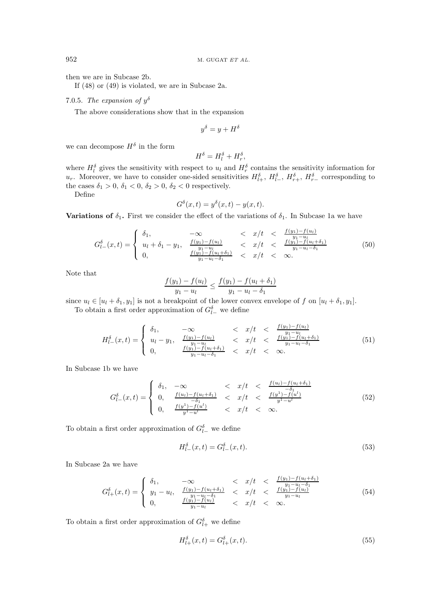then we are in Subcase 2b.

If  $(48)$  or  $(49)$  is violated, we are in Subcase 2a.

7.0.5. The expansion of  $y^{\delta}$ 

The above considerations show that in the expansion

$$
y^{\delta} = y + H^{\delta}
$$

we can decompose  $H^{\delta}$  in the form

$$
H^\delta = H_l^\delta + H_r^\delta,
$$

where  $H_l^{\delta}$  gives the sensitivity with respect to  $u_l$  and  $H_r^{\delta}$  contains the sensitivity information for  $u_r$ . Moreover, we have to consider one-sided sensitivities  $H_{l+}^{\delta}$ ,  $H_{l-}^{\delta}$ ,  $H_{r+}^{\delta}$ ,  $H_{r-}^{\delta}$ 

Define

$$
G^{\delta}(x,t) = y^{\delta}(x,t) - y(x,t).
$$

**Variations of**  $\delta_1$ **.** First we consider the effect of the variations of  $\delta_1$ . In Subcase 1a we have

$$
G_{l-}^{\delta}(x,t) = \begin{cases} \n\delta_1, & -\infty < x/t < \frac{f(y_1) - f(u_l)}{y_1 - u_l} \\
u_l + \delta_1 - y_1, & \frac{f(y_1) - f(u_l)}{y_1 - u_l} < x/t < \frac{f(y_1) - f(u_l + \delta_1)}{y_1 - u_l - \delta_1} \\
0, & \frac{f(y_1) - f(u_l + \delta_1)}{y_1 - u_l - \delta_1} < x/t < \infty. \n\end{cases} \tag{50}
$$

Note that

$$
\frac{f(y_1) - f(u_l)}{y_1 - u_l} \le \frac{f(y_1) - f(u_l + \delta_1)}{y_1 - u_l - \delta_1}
$$

since  $u_l \in [u_l + \delta_1, y_1]$  is not a breakpoint of the lower convex envelope of f on  $[u_l + \delta_1, y_1]$ .

To obtain a first order approximation of  $G_{l-}^{\delta}$  we define

$$
H_{l-}^{\delta}(x,t) = \begin{cases} \n\delta_1, & -\infty < x/t < \frac{f(y_1) - f(u_l)}{y_1 - u_l} \\
u_l - y_1, & \frac{f(y_1) - f(u_l)}{y_1 - u_l} < x/t < \frac{f(y_1) - f(u_l + \delta_1)}{y_1 - u_l - \delta_1} \\
0, & \frac{f(y_1) - f(u_l + \delta_1)}{y_1 - u_l - \delta_1} < x/t < \infty.\n\end{cases} \tag{51}
$$

In Subcase 1b we have

$$
G_{l-}^{\delta}(x,t) = \begin{cases} \n\delta_1, & -\infty < x/t < \frac{f(u_l) - f(u_l + \delta_1)}{-\delta_1} \\
0, & \frac{f(u_l) - f(u_l + \delta_1)}{-\delta_1} < x/t < \frac{f(y^1) - f(u^l)}{y^1 - u^l} \\
0, & \frac{f(y^1) - f(u^l)}{y^1 - u^l} < x/t < \infty. \n\end{cases} \tag{52}
$$

To obtain a first order approximation of  $G_{l-}^{\delta}$  we define

$$
H_{l-}^{\delta}(x,t) = G_{l-}^{\delta}(x,t).
$$
\n(53)

In Subcase 2a we have

$$
G_{l+}^{\delta}(x,t) = \begin{cases} \n\delta_1, & -\infty < x/t < \frac{f(y_1) - f(u_l + \delta_1)}{y_1 - u_l - \delta_1} \\
y_1 - u_l, & \frac{f(y_1) - f(u_l + \delta_1)}{y_1 - u_l - \delta_1} < x/t < \frac{f(y_1) - f(u_l)}{y_1 - u_l} \\
0, & \frac{f(y_1) - f(u_l)}{y_1 - u_l} < x/t < \infty. \n\end{cases} \tag{54}
$$

To obtain a first order approximation of  $G_{l+}^{\delta}$  we define

$$
H_{l+}^{\delta}(x,t) = G_{l+}^{\delta}(x,t). \tag{55}
$$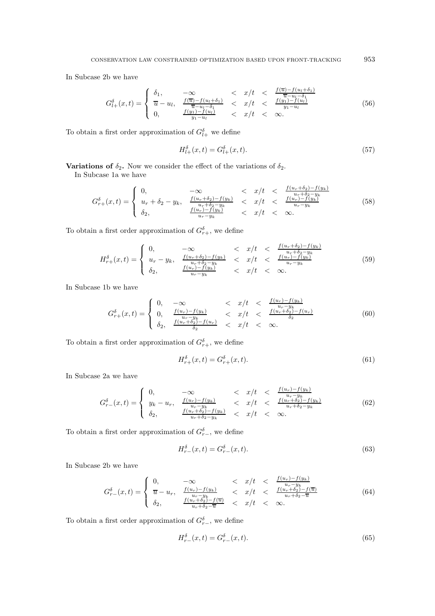In Subcase 2b we have

$$
G_{l+}^{\delta}(x,t) = \begin{cases} \n\delta_1, & -\infty < x/t < \frac{f(\overline{u}) - f(u_l + \delta_1)}{\overline{u} - u_l - \delta_1} \\
\overline{u} - u_l, & \frac{f(\overline{u}) - f(u_l + \delta_1)}{\overline{u} - u_l - \delta_1} < x/t < \frac{f(y_1) - f(u_l)}{y_1 - u_l} \\
0, & \frac{f(y_1) - f(u_l)}{y_1 - u_l} < x/t < \infty.\n\end{cases} \tag{56}
$$

To obtain a first order approximation of  $G_{l+}^{\delta}$  we define

$$
H_{l+}^{\delta}(x,t) = G_{l+}^{\delta}(x,t). \tag{57}
$$

**Variations of**  $\delta_2$ . Now we consider the effect of the variations of  $\delta_2$ .

In Subcase 1a we have

$$
G_{r+}^{\delta}(x,t) = \begin{cases} 0, & -\infty < x/t < \frac{f(u_r + \delta_2) - f(y_k)}{u_r + \delta_2 - y_k} \\ u_r + \delta_2 - y_k, & \frac{f(u_r + \delta_2) - f(y_k)}{u_r + \delta_2 - y_k} < x/t < \frac{f(u_r) - f(y_k)}{u_r - y_k} \\ \delta_2, & \frac{f(u_r) - f(y_k)}{u_r - y_k} < x/t < \infty. \end{cases} \tag{58}
$$

To obtain a first order approximation of  $G_{r+}^{\delta},$  we define

$$
H_{r+}^{\delta}(x,t) = \begin{cases} 0, & -\infty < x/t < \frac{f(u_r + \delta_2) - f(y_k)}{u_r + \delta_2 - y_k} \\ u_r - y_k, & \frac{f(u_r + \delta_2) - f(y_k)}{u_r + \delta_2 - y_k} < x/t < \frac{f(u_r) - f(y_k)}{u_r - y_k} \\ \delta_2, & \frac{f(u_r) - f(y_k)}{u_r - y_k} < x/t < \infty. \end{cases} \tag{59}
$$

In Subcase 1b we have

$$
G_{r+}^{\delta}(x,t) = \begin{cases} 0, & -\infty < x/t < \frac{f(u_r) - f(y_k)}{u_r - y_k} \\ 0, & \frac{f(u_r) - f(y_k)}{u_r - y_k} < x/t < \frac{f(u_r + \delta_2) - f(u_r)}{\delta_2} \\ \delta_2, & \frac{f(u_r + \delta_2) - f(u_r)}{\delta_2} < x/t < \infty. \end{cases} \tag{60}
$$

To obtain a first order approximation of  $G_{r+}^{\delta},$  we define

$$
H_{r+}^{\delta}(x,t) = G_{r+}^{\delta}(x,t). \tag{61}
$$

In Subcase 2a we have

$$
G_{r-}^{\delta}(x,t) = \begin{cases} 0, & -\infty < x/t < \frac{f(u_r) - f(y_k)}{u_r - y_k} \\ y_k - u_r, & \frac{f(u_r) - f(y_k)}{u_r - y_k} < x/t < \frac{f(u_r + \delta_2) - f(y_k)}{u_r + \delta_2 - y_k} \\ \delta_2, & \frac{f(u_r + \delta_2) - f(y_k)}{u_r + \delta_2 - y_k} < x/t < \infty. \end{cases} \tag{62}
$$

To obtain a first order approximation of  $G_{r-}^{\delta},$  we define

$$
H_{r-}^{\delta}(x,t) = G_{r-}^{\delta}(x,t). \tag{63}
$$

In Subcase 2b we have

$$
G_{r-}^{\delta}(x,t) = \begin{cases} 0, & -\infty < x/t < \frac{f(u_r) - f(y_k)}{u_r - y_k} \\ \overline{u} - u_r, & \frac{f(u_r) - f(y_k)}{u_r - y_k} < x/t < \frac{f(u_r + \delta_2) - f(\overline{u})}{u_r + \delta_2 - \overline{u}} \\ \delta_2, & \frac{f(u_r + \delta_2) - f(\overline{u})}{u_r + \delta_2 - \overline{u}} < x/t < \infty. \end{cases} \tag{64}
$$

To obtain a first order approximation of  $G_{r-}^{\delta},$  we define

$$
H_{r-}^{\delta}(x,t) = G_{r-}^{\delta}(x,t). \tag{65}
$$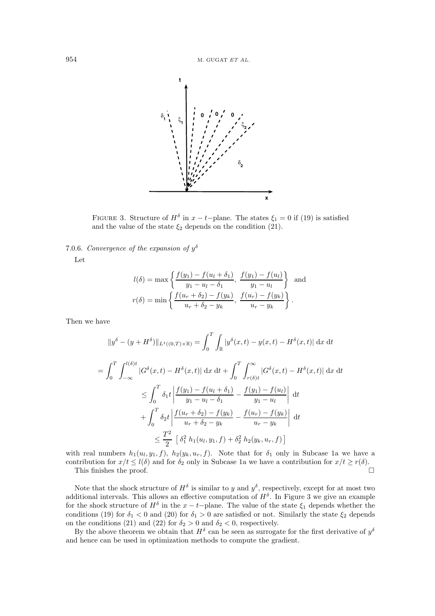

FIGURE 3. Structure of  $H^{\delta}$  in  $x - t$ -plane. The states  $\xi_1 = 0$  if (19) is satisfied and the value of the state  $\xi_2$  depends on the condition (21).

7.0.6. Convergence of the expansion of  $y^{\delta}$ 

Let

$$
l(\delta) = \max \left\{ \frac{f(y_1) - f(u_l + \delta_1)}{y_1 - u_l - \delta_1}, \frac{f(y_1) - f(u_l)}{y_1 - u_l} \right\} \text{ and}
$$

$$
r(\delta) = \min \left\{ \frac{f(u_r + \delta_2) - f(y_k)}{u_r + \delta_2 - y_k}, \frac{f(u_r) - f(y_k)}{u_r - y_k} \right\}.
$$

Then we have

$$
||y^{\delta} - (y + H^{\delta})||_{L^{1}((0,T) \times \mathbb{R})} = \int_{0}^{T} \int_{\mathbb{R}} |y^{\delta}(x,t) - y(x,t) - H^{\delta}(x,t)| \,dx \,dt
$$
  
\n
$$
= \int_{0}^{T} \int_{-\infty}^{l(\delta)t} |G^{\delta}(x,t) - H^{\delta}(x,t)| \,dx \,dt + \int_{0}^{T} \int_{r(\delta)t}^{\infty} |G^{\delta}(x,t) - H^{\delta}(x,t)| \,dx \,dt
$$
  
\n
$$
\leq \int_{0}^{T} \delta_{1}t \left| \frac{f(y_{1}) - f(u_{l} + \delta_{1})}{y_{1} - u_{l} - \delta_{1}} - \frac{f(y_{1}) - f(u_{l})}{y_{1} - u_{l}} \right| \,dt
$$
  
\n
$$
+ \int_{0}^{T} \delta_{2}t \left| \frac{f(u_{r} + \delta_{2}) - f(y_{k})}{u_{r} + \delta_{2} - y_{k}} - \frac{f(u_{r}) - f(y_{k})}{u_{r} - y_{k}} \right| \,dt
$$
  
\n
$$
\leq \frac{T^{2}}{2} \left[ \delta_{1}^{2} h_{1}(u_{l}, y_{1}, f) + \delta_{2}^{2} h_{2}(y_{k}, u_{r}, f) \right]
$$

with real numbers  $h_1(u_l, y_1, f)$ ,  $h_2(y_k, u_r, f)$ . Note that for  $\delta_1$  only in Subcase 1a we have a contribution for  $x/t \leq l(\delta)$  and for  $\delta_2$  only in Subcase 1a we have a contribution for  $x/t \geq r(\delta)$ .  $\Box$ 

This finishes the proof.

Note that the shock structure of  $H^{\delta}$  is similar to y and  $y^{\delta}$ , respectively, except for at most two additional intervals. This allows an effective computation of  $H^{\delta}$ . In Figure 3 we give an example for the shock structure of  $H^{\delta}$  in the  $x-t$ -plane. The value of the state  $\xi_1$  depends whether the conditions (19) for  $\delta_1$  < 0 and (20) for  $\delta_1$  > 0 are satisfied or not. Similarly the state  $\xi_2$  depends on the conditions (21) and (22) for  $\delta_2 > 0$  and  $\delta_2 < 0$ , respectively.<br>By the above theorem we obtain that  $H^{\delta}$  can be seen as surrogate for the first derivative of  $y^{\delta}$ 

and hence can be used in optimization methods to compute the gradient.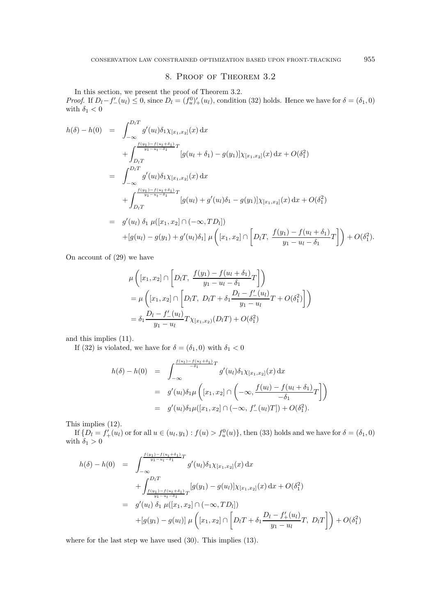# 8. PROOF OF THEOREM 3.2

In this section, we present the proof of Theorem 3.2. *Proof.* If  $D_l - f'_{-}(u_l) \leq 0$ , since  $D_l = (f_u^0)'_{+}(u_l)$ , condition (32) holds. Hence we have for  $\delta = (\delta_1, 0)$ with  $\delta_1 < 0$ 

$$
h(\delta) - h(0) = \int_{-\infty}^{D_{l}T} g'(u_{l}) \delta_{1} \chi_{[x_{1},x_{2}]}(x) dx + \int_{D_{l}T}^{\frac{f(y_{1}) - f(u_{l} + \delta_{1})}{y_{1} - u_{l} - \delta_{1}}} [g(u_{l} + \delta_{1}) - g(y_{1})] \chi_{[x_{1},x_{2}]}(x) dx + O(\delta_{1}^{2}) = \int_{-\infty}^{D_{l}T} g'(u_{l}) \delta_{1} \chi_{[x_{1},x_{2}]}(x) dx + \int_{D_{l}T}^{\frac{f(y_{1}) - f(u_{l} + \delta_{1})}{y_{1} - u_{l} - \delta_{1}}} [g(u_{l}) + g'(u_{l}) \delta_{1} - g(y_{1})] \chi_{[x_{1},x_{2}]}(x) dx + O(\delta_{1}^{2}) = g'(u_{l}) \delta_{1} \mu([x_{1},x_{2}] \cap (-\infty, TD_{l}]) + [g(u_{l}) - g(y_{1}) + g'(u_{l}) \delta_{1}] \mu \left( [x_{1},x_{2}] \cap [D_{l}T, \frac{f(y_{1}) - f(u_{l} + \delta_{1})}{y_{1} - u_{l} - \delta_{1}} T] \right) + O(\delta_{1}^{2}).
$$

On account of  $(29)$  we have

$$
\mu\left([x_1, x_2] \cap \left[D_l T, \frac{f(y_1) - f(u_l + \delta_1)}{y_1 - u_l - \delta_1} T\right]\right)
$$
  
= 
$$
\mu\left([x_1, x_2] \cap \left[D_l T, D_l T + \delta_1 \frac{D_l - f'_-(u_l)}{y_1 - u_l} T + O(\delta_1^2)\right]\right)
$$
  
= 
$$
\delta_1 \frac{D_l - f'_-(u_l)}{y_1 - u_l} T \chi_{[x_1, x_2)}(D_l T) + O(\delta_1^2)
$$

and this implies  $(11)$ .

If (32) is violated, we have for  $\delta = (\delta_1, 0)$  with  $\delta_1 < 0$ 

$$
h(\delta) - h(0) = \int_{-\infty}^{\frac{f(u_l) - f(u_l + \delta_1)}{-\delta_1}} g'(u_l) \delta_1 \chi_{[x_1, x_2]}(x) dx
$$
  
=  $g'(u_l) \delta_1 \mu \left( [x_1, x_2] \cap \left( -\infty, \frac{f(u_l) - f(u_l + \delta_1)}{-\delta_1} T \right] \right)$   
=  $g'(u_l) \delta_1 \mu([x_1, x_2] \cap (-\infty, f'_{-}(u_l) T]) + O(\delta_1^2).$ 

This implies  $(12)$ .

If  $\{D_l = f'_{+}(u'_l)$  or for all  $u \in (u_l, y_1) : f(u) > f_u^0(u)\}$ , then (33) holds and we have for  $\delta = (\delta_1, 0)$  with  $\delta_1 > 0$ 

$$
h(\delta) - h(0) = \int_{-\infty}^{\frac{f(y_1) - f(u_1 + \delta_1)}{y_1 - u_1 - \delta_1}} g'(u_l) \delta_1 \chi_{[x_1, x_2]}(x) dx + \int_{\frac{f(y_1) - f(u_1 + \delta_1)}{y_1 - u_1 - \delta_1}}^{D_l T} [g(y_1) - g(u_l)] \chi_{[x_1, x_2]}(x) dx + O(\delta_1^2) = g'(u_l) \delta_1 \mu([x_1, x_2] \cap (-\infty, TD_l]) + [g(y_1) - g(u_l)] \mu \left( [x_1, x_2] \cap \left[ D_l T + \delta_1 \frac{D_l - f'_+(u_l)}{y_1 - u_l} T, D_l T \right] \right) + O(\delta_1^2)
$$

where for the last step we have used  $(30)$ . This implies  $(13)$ .

 $\boldsymbol{955}$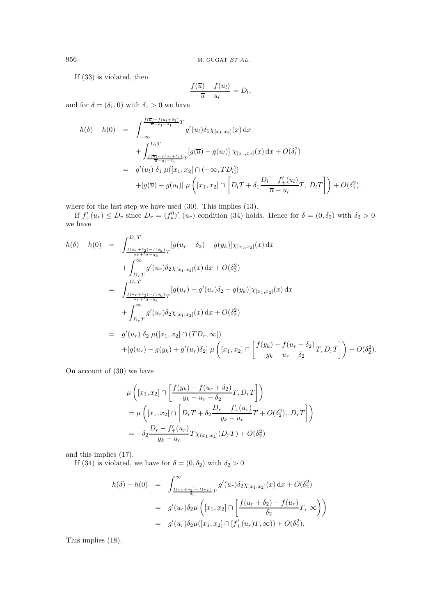M. GUGAT $ET$   $AL$ 

If  $(33)$  is violated, then

$$
\frac{f(\overline{u}) - f(u_l)}{\overline{u} - u_l} = D_l,
$$

and for  $\delta = (\delta_1, 0)$  with  $\delta_1 > 0$  we have

$$
h(\delta) - h(0) = \int_{-\infty}^{\frac{f(\overline{u}) - f(u_l + \delta_1)}{\overline{u} - u_l - \delta_1}} g'(u_l) \delta_1 \chi_{[x_1, x_2]}(x) dx + \int_{\frac{f(\overline{u}) - f(u_l + \delta_1)}{\overline{u} - u_l - \delta_1}}^{\text{D}_l T} [g(\overline{u}) - g(u_l)] \chi_{[x_1, x_2]}(x) dx + O(\delta_1^2) = g'(u_l) \delta_1 \mu([x_1, x_2] \cap (-\infty, TD_l]) + [g(\overline{u}) - g(u_l)] \mu \left( [x_1, x_2] \cap \left[ D_l T + \delta_1 \frac{D_l - f'_+(u_l)}{\overline{u} - u_l} T, D_l T \right] \right) + O(\delta_1^2).
$$

where for the last step we have used  $(30)$ . This implies  $(13)$ .

If  $f'_{+}(u_r) \leq D_r$  since  $D_r = (f_u^0)'_{-}(u_r)$  condition (34) holds. Hence for  $\delta = (0, \delta_2)$  with  $\delta_2 > 0$  we have

$$
h(\delta) - h(0) = \int_{\frac{f(u_r + \delta_2) - f(y_k)}{u_r + \delta_2 - y_k}}^{D_r T} [g(u_r + \delta_2) - g(y_k)] \chi_{[x_1, x_2]}(x) dx + \int_{D_r T}^{\infty} g'(u_r) \delta_2 \chi_{[x_1, x_2]}(x) dx + O(\delta_2^2) = \int_{\frac{f(u_r + \delta_2) - f(y_k)}{u_r + \delta_2 - y_k}}^{D_r T} [g(u_r) + g'(u_r) \delta_2 - g(y_k)] \chi_{[x_1, x_2]}(x) dx + \int_{D_r T}^{\infty} g'(u_r) \delta_2 \chi_{[x_1, x_2]}(x) dx + O(\delta_2^2) = g'(u_r) \delta_2 \mu([x_1, x_2] \cap (TD_r, \infty)) + [g(u_r) - g(y_k) + g'(u_r) \delta_2] \mu ([x_1, x_2] \cap \left[ \frac{f(y_k) - f(u_r + \delta_2)}{y_k - u_r - \delta_2} T, D_r T \right] + O(\delta_2^2).
$$

On account of  $(30)$  we have

$$
\mu\left([x_1, x_2] \cap \left[\frac{f(y_k) - f(u_r + \delta_2)}{y_k - u_r - \delta_2} T, D_r T\right]\right)
$$
  
= 
$$
\mu\left([x_1, x_2] \cap \left[D_r T + \delta_2 \frac{D_r - f'_+(u_r)}{y_k - u_r} T + O(\delta_2^2), D_r T\right]\right)
$$
  
= 
$$
-\delta_2 \frac{D_r - f'_+(u_r)}{y_k - u_r} T \chi_{(x_1, x_2]}(D_r T) + O(\delta_2^2)
$$

and this implies  $(17)$ .

If (34) is violated, we have for  $\delta = (0, \delta_2)$  with  $\delta_2 > 0$ 

$$
h(\delta) - h(0) = \int_{\frac{f(u_r + \delta_2) - f(u_r)}{\delta_2}}^{\infty} g'(u_r) \delta_2 \chi_{[x_1, x_2]}(x) dx + O(\delta_2^2)
$$
  

$$
= g'(u_r) \delta_2 \mu \left( [x_1, x_2] \cap \left[ \frac{f(u_r + \delta_2) - f(u_r)}{\delta_2} T, \infty \right] \right)
$$
  

$$
= g'(u_r) \delta_2 \mu([x_1, x_2] \cap [f'_+(u_r)T, \infty)) + O(\delta_2^2).
$$

This implies  $(18)$ .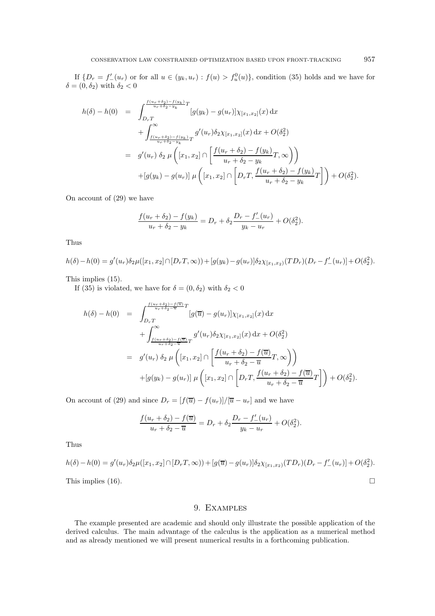If  $\{D_r = f'_{-}(u_r)$  or for all  $u \in (y_k, u_r) : f(u) > f_u^0(u)\}$ , condition (35) holds and we have for  $\delta = (0, \delta_2)$  with  $\delta_2 < 0$ 

$$
h(\delta) - h(0) = \int_{D_r T}^{\frac{f(u_r + \delta_2) - f(y_k)}{u_r + \delta_2 - y_k}} [g(y_k) - g(u_r)] \chi_{[x_1, x_2]}(x) dx + \int_{\frac{f(u_r + \delta_2) - f(y_k)}{u_r + \delta_2 - y_k}}^{\infty} g'(u_r) \delta_2 \chi_{[x_1, x_2]}(x) dx + O(\delta_2^2) = g'(u_r) \delta_2 \mu \left( [x_1, x_2] \cap \left[ \frac{f(u_r + \delta_2) - f(y_k)}{u_r + \delta_2 - y_k} T, \infty \right] \right) + [g(y_k) - g(u_r)] \mu \left( [x_1, x_2] \cap \left[ D_r T, \frac{f(u_r + \delta_2) - f(y_k)}{u_r + \delta_2 - y_k} T \right] \right) + O(\delta_2^2).
$$

On account of  $(29)$  we have

$$
\frac{f(u_r + \delta_2) - f(y_k)}{u_r + \delta_2 - y_k} = D_r + \delta_2 \frac{D_r - f'_-(u_r)}{y_k - u_r} + O(\delta_2^2).
$$

Thus

$$
h(\delta) - h(0) = g'(u_r)\delta_2\mu([x_1, x_2] \cap [D_rT, \infty)) + [g(y_k) - g(u_r)]\delta_2\chi_{[x_1, x_2)}(TD_r)(D_r - f'_{-}(u_r)] + O(\delta_2^2).
$$

This implies  $(15)$ .

If (35) is violated, we have for  $\delta = (0, \delta_2)$  with  $\delta_2 < 0$ 

$$
h(\delta) - h(0) = \int_{D_r T}^{\frac{f(u_r + \delta_2) - f(\overline{u})}{u_r + \delta_2 - \overline{u}} T} [g(\overline{u}) - g(u_r)] \chi_{[x_1, x_2]}(x) dx + \int_{\frac{f(u_r + \delta_2) - f(\overline{u})}{u_r + \delta_2 - \overline{u}} T}^{\infty} g'(u_r) \delta_2 \chi_{[x_1, x_2]}(x) dx + O(\delta_2^2) = g'(u_r) \delta_2 \mu \left( [x_1, x_2] \cap \left[ \frac{f(u_r + \delta_2) - f(\overline{u})}{u_r + \delta_2 - \overline{u}} T, \infty \right] \right) + [g(y_k) - g(u_r)] \mu \left( [x_1, x_2] \cap \left[ D_r T, \frac{f(u_r + \delta_2) - f(\overline{u})}{u_r + \delta_2 - \overline{u}} T \right] \right) + O(\delta_2^2).
$$

On account of (29) and since  $D_r = [f(\overline{u}) - f(u_r)]/[\overline{u} - u_r]$  and we have

$$
\frac{f(u_r + \delta_2) - f(\overline{u})}{u_r + \delta_2 - \overline{u}} = D_r + \delta_2 \frac{D_r - f'_-(u_r)}{y_k - u_r} + O(\delta_2^2).
$$

Thus

$$
h(\delta) - h(0) = g'(u_r)\delta_2\mu([x_1, x_2] \cap [D_rT, \infty)) + [g(\overline{u}) - g(u_r)]\delta_2\chi_{[x_1, x_2)}(TD_r)(D_r - f'_{-}(u_r)] + O(\delta_2^2).
$$

This implies  $(16)$ .

# 9. EXAMPLES

The example presented are academic and should only illustrate the possible application of the derived calculus. The main advantage of the calculus is the application as a numerical method and as already mentioned we will present numerical results in a forthcoming publication.

 $\Box$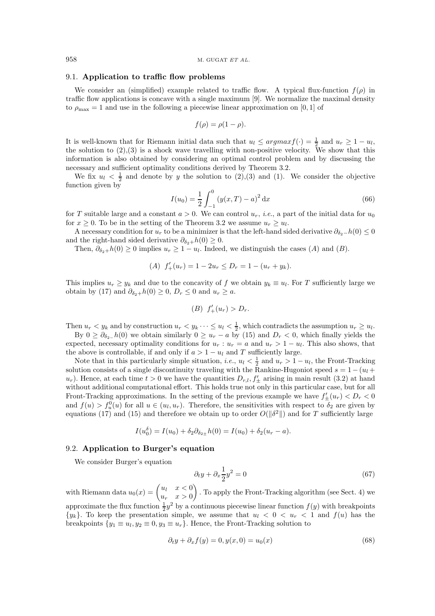#### 9.1. Application to traffic flow problems

We consider an (simplified) example related to traffic flow. A typical flux-function  $f(\rho)$  in traffic flow applications is concave with a single maximum [9]. We normalize the maximal density to  $\rho_{\text{max}} = 1$  and use in the following a piecewise linear approximation on [0, 1] of

$$
f(\rho) = \rho(1 - \rho).
$$

It is well-known that for Riemann initial data such that  $u_l \leq argmax f(\cdot) = \frac{1}{2}$  and  $u_r \geq 1 - u_l$ , the solution to  $(2),(3)$  is a shock wave travelling with non-positive velocity. We show that this information is also obtained by considering an optimal control problem and by discussing the necessary and sufficient optimality conditions derived by Theorem 3.2.

We fix  $u_l < \frac{1}{2}$  and denote by y the solution to (2), (3) and (1). We consider the objective function given by

$$
I(u_0) = \frac{1}{2} \int_{-1}^{0} (y(x, T) - a)^2 dx
$$
 (66)

for T suitable large and a constant  $a > 0$ . We can control  $u_r$ , *i.e.*, a part of the initial data for  $u_0$ for  $x \geq 0$ . To be in the setting of the Theorem 3.2 we assume  $u_r \geq u_l$ .

A necessary condition for  $u_r$  to be a minimizer is that the left-hand sided derivative  $\partial_{\delta_2} - h(0) \leq 0$ and the right-hand sided derivative  $\partial_{\delta_2+}h(0) \geq 0$ .

Then,  $\partial_{\delta_2+}h(0) \ge 0$  implies  $u_r \ge 1 - u_l$ . Indeed, we distinguish the cases (A) and (B).

(A) 
$$
f'_{+}(u_r) = 1 - 2u_r \le D_r = 1 - (u_r + y_k).
$$

This implies  $u_r \geq y_k$  and due to the concavity of f we obtain  $y_k \equiv u_l$ . For T sufficiently large we obtain by (17) and  $\partial_{\delta_2+}h(0) \geq 0$ ,  $D_r \leq 0$  and  $u_r \geq a$ .

$$
(B) f'_{+}(u_r) > D_r
$$

Then  $u_r < y_k$  and by construction  $u_r < y_k \cdots \le u_l < \frac{1}{2}$ , which contradicts the assumption  $u_r \ge u_l$ .

By  $0 \ge \partial_{\delta_2} h(0)$  we obtain similarly  $0 \ge u_r - a$  by (15) and  $D_r < 0$ , which finally yields the expected, necessary optimality conditions for  $u_r : u_r = a$  and  $u_r > 1 - u_l$ . This also shows, that the above is controllable, if and only if  $a > 1 - u_l$  and T sufficiently large.

Note that in this particularly simple situation, *i.e.*,  $u_l < \frac{1}{2}$  and  $u_r > 1 - u_l$ , the Front-Tracking solution consists of a single discontinuity traveling with the Rankine-Hugoniot speed  $s = 1 - (u_l +$  $u_r$ ). Hence, at each time  $t > 0$  we have the quantities  $D_{r,l}$ ,  $f'_{\pm}$  arising in main result (3.2) at hand without additional computational effort. This holds true not only in this particular case, but for all Front-Tracking approximations. In the setting of the previous example we have  $f'_{+}(u_r) < D_r < 0$ and  $f(u) > f_u^0(u)$  for all  $u \in (u_l, u_r)$ . Therefore, the sensitivities with respect to  $\delta_2$  are given by equations (17) and (15) and therefore we obtain up to order  $O(\|\delta^2\|)$  and for T sufficiently large

$$
I(u_0^{\delta}) = I(u_0) + \delta_2 \partial_{\delta_{2+}} h(0) = I(u_0) + \delta_2(u_r - a).
$$

### 9.2. Application to Burger's equation

We consider Burger's equation

$$
\partial_t y + \partial_x \frac{1}{2} y^2 = 0 \tag{67}
$$

with Riemann data  $u_0(x) = \begin{pmatrix} u_l & x < 0 \\ u_r & x > 0 \end{pmatrix}$ . To apply the Front-Tracking algorithm (see Sect. 4) we approximate the flux function  $\frac{1}{2}y^2$  by a continuous piecewise linear function  $f(y)$  with breakpoints  $\{y_k\}$ . To keep the presentation simple, we assume that  $u_l < 0 < u_r < 1$  and  $f(u)$  has the breakpoints  $\{y_1 \equiv u_1, y_2 \equiv 0, y_3 \equiv u_r\}$ . Hence, the Front-Tracking solution to

$$
\partial_t y + \partial_x f(y) = 0, y(x, 0) = u_0(x) \tag{68}
$$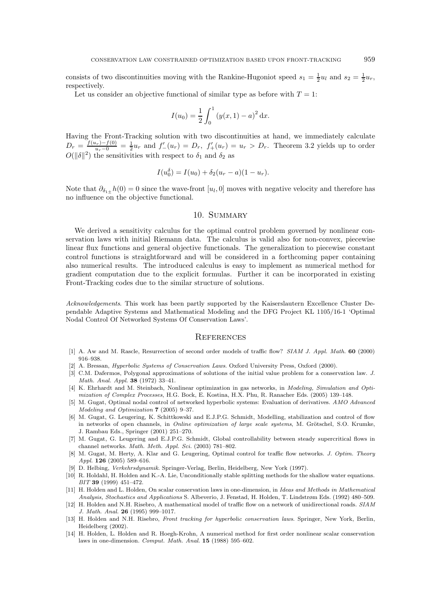consists of two discontinuities moving with the Rankine-Hugoniot speed  $s_1 = \frac{1}{2}u_l$  and  $s_2 = \frac{1}{2}u_r$ . respectively.

Let us consider an objective functional of similar type as before with  $T=1$ .

$$
I(u_0) = \frac{1}{2} \int_0^1 (y(x, 1) - a)^2 dx.
$$

Having the Front-Tracking solution with two discontinuities at hand, we immediately calculate  $D_r = \frac{f(u_r) - f(0)}{u_r - 0} = \frac{1}{2}u_r$  and  $f'_{-}(u_r) = D_r$ ,  $f'_{+}(u_r) = u_r > D_r$ . Theorem 3.2 yields up to order  $O(||\delta||^2)$  the sensitivities with respect to  $\delta_1$  and  $\delta_2$  as

$$
I(u_0^{\delta}) = I(u_0) + \delta_2(u_r - a)(1 - u_r).
$$

Note that  $\partial_{\delta_{1\pm}}h(0)=0$  since the wave-front  $[u_l,0]$  moves with negative velocity and therefore has no influence on the objective functional.

### 10. SUMMARY

We derived a sensitivity calculus for the optimal control problem governed by nonlinear conservation laws with initial Riemann data. The calculus is valid also for non-convex, piecewise linear flux functions and general objective functionals. The generalization to piecewise constant control functions is straightforward and will be considered in a forthcoming paper containing also numerical results. The introduced calculus is easy to implement as numerical method for gradient computation due to the explicit formulas. Further it can be incorporated in existing Front-Tracking codes due to the similar structure of solutions.

Acknowledgements. This work has been partly supported by the Kaiserslautern Excellence Cluster Dependable Adaptive Systems and Mathematical Modeling and the DFG Project KL 1105/16-1 'Optimal Nodal Control Of Networked Systems Of Conservation Laws'.

#### REFERENCES

- [1] A. Aw and M. Rascle, Resurrection of second order models of traffic flow? SIAM J. Appl. Math. 60 (2000) 916-938.
- [2] A. Bressan, *Hyperbolic Systems of Conservation Laws*. Oxford University Press, Oxford (2000).
- [3] C.M. Dafermos, Polygonal approximations of solutions of the initial value problem for a conservation law. J. Math. Anal. Appl. 38 (1972) 33-41.
- [4] K. Ehrhardt and M. Steinbach, Nonlinear optimization in gas networks, in Modeling, Simulation and Optimization of Complex Processes, H.G. Bock, E. Kostina, H.X. Phu, R. Ranacher Eds. (2005) 139-148.
- [5] M. Gugat, Optimal nodal control of networked hyperbolic systems: Evaluation of derivatives. AMO Advanced Modeling and Optimization  $7$  (2005) 9-37.
- [6] M. Gugat, G. Leugering, K. Schittkowski and E.J.P.G. Schmidt, Modelling, stabilization and control of flow in networks of open channels, in Online optimization of large scale systems, M. Grötschel, S.O. Krumke, J. Rambau Eds., Springer (2001) 251-270.
- [7] M. Gugat, G. Leugering and E.J.P.G. Schmidt, Global controllability between steady supercritical flows in channel networks. Math. Meth. Appl. Sci. (2003) 781-802.
- [8] M. Gugat, M. Herty, A. Klar and G. Leugering, Optimal control for traffic flow networks. J. Optim. Theory Appl. 126 (2005) 589-616.
- [9] D. Helbing, Verkehrsdynamik. Springer-Verlag, Berlin, Heidelberg, New York (1997).
- [10] R. Holdahl, H. Holden and K.-A. Lie, Unconditionally stable splitting methods for the shallow water equations. BIT 39 (1999) 451-472.
- [11] H. Holden and L. Holden, On scalar conservation laws in one-dimension, in Ideas and Methods in Mathematical Analysis, Stochastics and Applications S. Albeverio, J. Fenstad, H. Holden, T. Lindstrøm Eds. (1992) 480–509.
- [12] H. Holden and N.H. Risebro, A mathematical model of traffic flow on a network of unidirectional roads. SIAM J. Math. Anal. 26 (1995) 999-1017.
- [13] H. Holden and N.H. Risebro, Front tracking for hyperbolic conservation laws. Springer, New York, Berlin, Heidelberg (2002).
- [14] H. Holden, L. Holden and R. Hoegh-Krohn, A numerical method for first order nonlinear scalar conservation laws in one-dimension. Comput. Math. Anal. 15 (1988) 595-602.